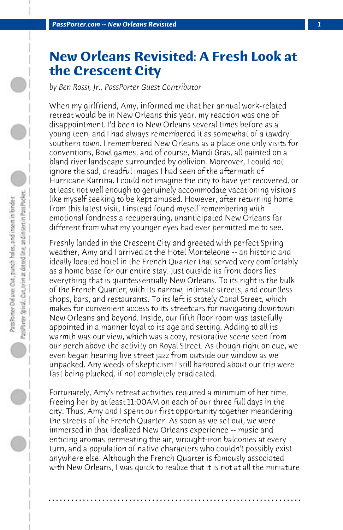## **New Orleans Revisited: A Fresh Look at the Crescent City**

*by Ben Rossi, Jr., PassPorter Guest Contributor*

When my girlfriend, Amy, informed me that her annual work-related retreat would be in New Orleans this year, my reaction was one of disappointment. I'd been to New Orleans several times before as a young teen, and I had always remembered it as somewhat of a tawdry southern town. I remembered New Orleans as a place one only visits for conventions, Bowl games, and of course, Mardi Gras, all painted on a bland river landscape surrounded by oblivion. Moreover, I could not ignore the sad, dreadful images I had seen of the aftermath of Hurricane Katrina. I could not imagine the city to have yet recovered, or at least not well enough to genuinely accommodate vacationing visitors like myself seeking to be kept amused. However, after returning home from this latest visit, I instead found myself remembering with emotional fondness a recuperating, unanticipated New Orleans far different from what my younger eyes had ever permitted me to see.

Freshly landed in the Crescent City and greeted with perfect Spring weather, Amy and I arrived at the Hotel Monteleone -- an historic and ideally located hotel in the French Quarter that served very comfortably as a home base for our entire stay. Just outside its front doors lies everything that is quintessentially New Orleans. To its right is the bulk of the French Quarter, with its narrow, intimate streets, and countless shops, bars, and restaurants. To its left is stately Canal Street, which makes for convenient access to its streetcars for navigating downtown New Orleans and beyond. Inside, our fifth floor room was tastefully appointed in a manner loyal to its age and setting. Adding to all its warmth was our view, which was a cozy, restorative scene seen from our perch above the activity on Royal Street. As though right on cue, we even began hearing live street jazz from outside our window as we unpacked. Any weeds of skepticism I still harbored about our trip were fast being plucked, if not completely eradicated.

Fortunately, Amy's retreat activities required a minimum of her time, freeing her by at least 11:00AM on each of our three full days in the city. Thus, Amy and I spent our first opportunity together meandering the streets of the French Quarter. As soon as we set out, we were immersed in that idealized New Orleans experience -- music and enticing aromas permeating the air, wrought-iron balconies at every turn, and a population of native characters who couldn't possibly exist anywhere else. Although the French Quarter is famously associated with New Orleans, I was quick to realize that it is not at all the miniature

**. . . . . . . . . . . . . . . . . . . . . . . . . . . . . . . . . . . . . . . . . . . . . . . . . . . . . . . . . . . . . . . . . .**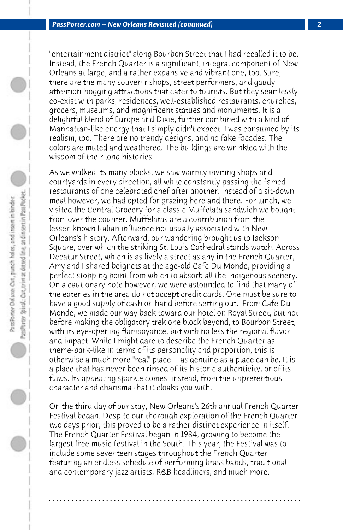"entertainment district" along Bourbon Street that I had recalled it to be. Instead, the French Quarter is a significant, integral component of New Orleans at large, and a rather expansive and vibrant one, too. Sure, there are the many souvenir shops, street performers, and gaudy attention-hogging attractions that cater to tourists. But they seamlessly co-exist with parks, residences, well-established restaurants, churches, grocers, museums, and magnificent statues and monuments. It is a delightful blend of Europe and Dixie, further combined with a kind of Manhattan-like energy that I simply didn't expect. I was consumed by its realism, too. There are no trendy designs, and no fake facades. The colors are muted and weathered. The buildings are wrinkled with the wisdom of their long histories.

As we walked its many blocks, we saw warmly inviting shops and courtyards in every direction, all while constantly passing the famed restaurants of one celebrated chef after another. Instead of a sit-down meal however, we had opted for grazing here and there. For lunch, we visited the Central Grocery for a classic Muffelata sandwich we bought from over the counter. Muffelatas are a contribution from the lesser-known Italian influence not usually associated with New Orleans's history. Afterward, our wandering brought us to Jackson Square, over which the striking St. Louis Cathedral stands watch. Across Decatur Street, which is as lively a street as any in the French Quarter, Amy and I shared beignets at the age-old Cafe Du Monde, providing a perfect stopping point from which to absorb all the indigenous scenery. On a cautionary note however, we were astounded to find that many of the eateries in the area do not accept credit cards. One must be sure to have a good supply of cash on hand before setting out. From Cafe Du Monde, we made our way back toward our hotel on Royal Street, but not before making the obligatory trek one block beyond, to Bourbon Street, with its eye-opening flamboyance, but with no less the regional flavor and impact. While I might dare to describe the French Quarter as theme-park-like in terms of its personality and proportion, this is otherwise a much more "real" place -- as genuine as a place can be. It is a place that has never been rinsed of its historic authenticity, or of its flaws. Its appealing sparkle comes, instead, from the unpretentious character and charisma that it cloaks you with.

PassPorter Spiral: Car, trim at dotted line, and insert in PassPocket. PassPorter Del son: Cut, punch holes, and insert in binder

> On the third day of our stay, New Orleans's 26th annual French Quarter Festival began. Despite our thorough exploration of the French Quarter two days prior, this proved to be a rather distinct experience in itself. The French Quarter Festival began in 1984, growing to become the largest free music festival in the South. This year, the Festival was to include some seventeen stages throughout the French Quarter featuring an endless schedule of performing brass bands, traditional and contemporary jazz artists, R&B headliners, and much more.

> **. . . . . . . . . . . . . . . . . . . . . . . . . . . . . . . . . . . . . . . . . . . . . . . . . . . . . . . . . . . . . . . . . .**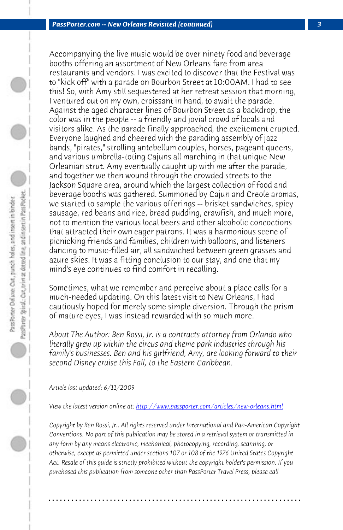*PassPorter.com -- New Orleans Revisited (continued) 3*

Accompanying the live music would be over ninety food and beverage booths offering an assortment of New Orleans fare from area restaurants and vendors. I was excited to discover that the Festival was to "kick off" with a parade on Bourbon Street at 10:00AM. I had to see this! So, with Amy still sequestered at her retreat session that morning, I ventured out on my own, croissant in hand, to await the parade. Against the aged character lines of Bourbon Street as a backdrop, the color was in the people -- a friendly and jovial crowd of locals and visitors alike. As the parade finally approached, the excitement erupted. Everyone laughed and cheered with the parading assembly of jazz bands, "pirates," strolling antebellum couples, horses, pageant queens, and various umbrella-toting Cajuns all marching in that unique New Orleanian strut. Amy eventually caught up with me after the parade, and together we then wound through the crowded streets to the Jackson Square area, around which the largest collection of food and beverage booths was gathered. Summoned by Cajun and Creole aromas, we started to sample the various offerings -- brisket sandwiches, spicy sausage, red beans and rice, bread pudding, crawfish, and much more, not to mention the various local beers and other alcoholic concoctions that attracted their own eager patrons. It was a harmonious scene of picnicking friends and families, children with balloons, and listeners dancing to music-filled a[ir, all sandwiched between green grasses an](http://www.passporter.com/articles/new-orleans.php)d azure skies. It was a fitting conclusion to our stay, and one that my mind's eye continues to find comfort in recalling.

Sometimes, what we remember and perceive about a place calls for a much-needed updating. On this latest visit to New Orleans, I had cautiously hoped for merely some simple diversion. Through the prism of mature eyes, I was instead rewarded with so much more.

*About The Author: Ben Rossi, Jr. is a contracts attorney from Orlando who literally grew up within the circus and theme park industries through his family's businesses. Ben and his girlfriend, Amy, are looking forward to their second Disney cruise this Fall, to the Eastern Caribbean.*

*Article last updated: 6/11/2009*

*View the latest version online at: http://www.passporter.com/articles/new-orleans.html*

*Copyright by Ben Rossi, Jr.. All rights reserved under International and Pan-American Copyright Conventions. No part of this publication may be stored in a retrieval system or transmitted in any form by any means electronic, mechanical, photocopying, recording, scanning, or otherwise, except as permitted under sections 107 or 108 of the 1976 United States Copyright Act. Resale of this guide is strictly prohibited without the copyright holder's permission. If you purchased this publication from someone other than PassPorter Travel Press, please call*

**. . . . . . . . . . . . . . . . . . . . . . . . . . . . . . . . . . . . . . . . . . . . . . . . . . . . . . . . . . . . . . . . . .**